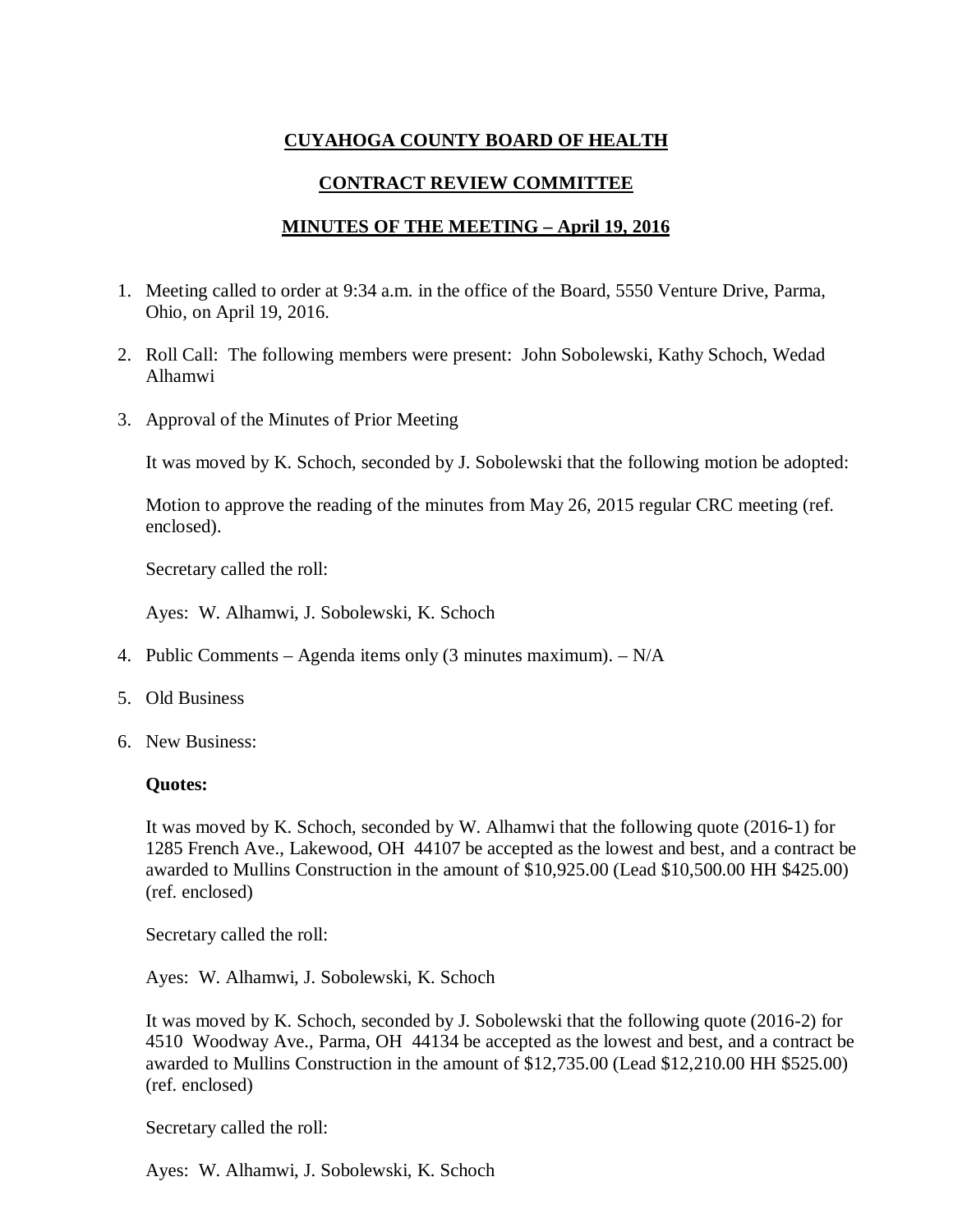# **CUYAHOGA COUNTY BOARD OF HEALTH**

## **CONTRACT REVIEW COMMITTEE**

### **MINUTES OF THE MEETING – April 19, 2016**

- 1. Meeting called to order at 9:34 a.m. in the office of the Board, 5550 Venture Drive, Parma, Ohio, on April 19, 2016.
- 2. Roll Call: The following members were present: John Sobolewski, Kathy Schoch, Wedad Alhamwi
- 3. Approval of the Minutes of Prior Meeting

It was moved by K. Schoch, seconded by J. Sobolewski that the following motion be adopted:

Motion to approve the reading of the minutes from May 26, 2015 regular CRC meeting (ref. enclosed).

Secretary called the roll:

Ayes: W. Alhamwi, J. Sobolewski, K. Schoch

- 4. Public Comments Agenda items only (3 minutes maximum). N/A
- 5. Old Business
- 6. New Business:

### **Quotes:**

It was moved by K. Schoch, seconded by W. Alhamwi that the following quote (2016-1) for 1285 French Ave., Lakewood, OH 44107 be accepted as the lowest and best, and a contract be awarded to Mullins Construction in the amount of \$10,925.00 (Lead \$10,500.00 HH \$425.00) (ref. enclosed)

Secretary called the roll:

Ayes: W. Alhamwi, J. Sobolewski, K. Schoch

It was moved by K. Schoch, seconded by J. Sobolewski that the following quote (2016-2) for 4510 Woodway Ave., Parma, OH 44134 be accepted as the lowest and best, and a contract be awarded to Mullins Construction in the amount of \$12,735.00 (Lead \$12,210.00 HH \$525.00) (ref. enclosed)

Secretary called the roll:

Ayes: W. Alhamwi, J. Sobolewski, K. Schoch